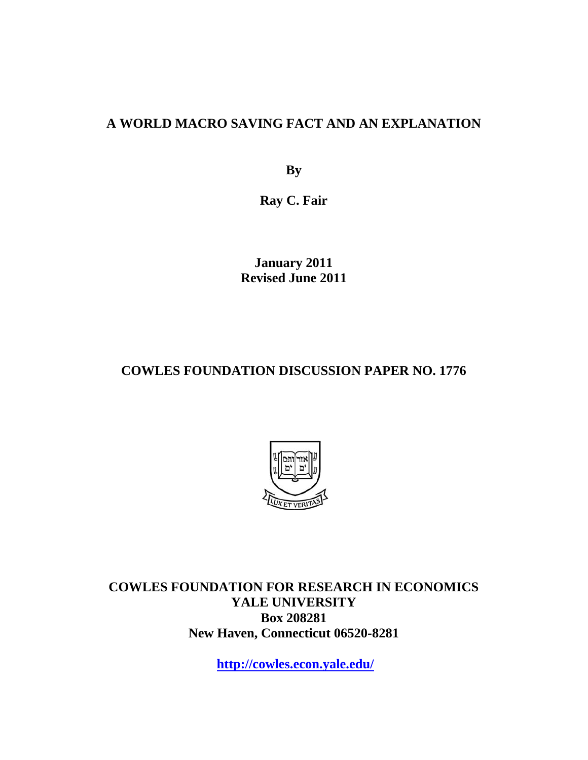#### **A WORLD MACRO SAVING FACT AND AN EXPLANATION**

**By** 

**Ray C. Fair** 

**January 2011 Revised June 2011** 

### **COWLES FOUNDATION DISCUSSION PAPER NO. 1776**



**COWLES FOUNDATION FOR RESEARCH IN ECONOMICS YALE UNIVERSITY Box 208281 New Haven, Connecticut 06520-8281** 

**http://cowles.econ.yale.edu/**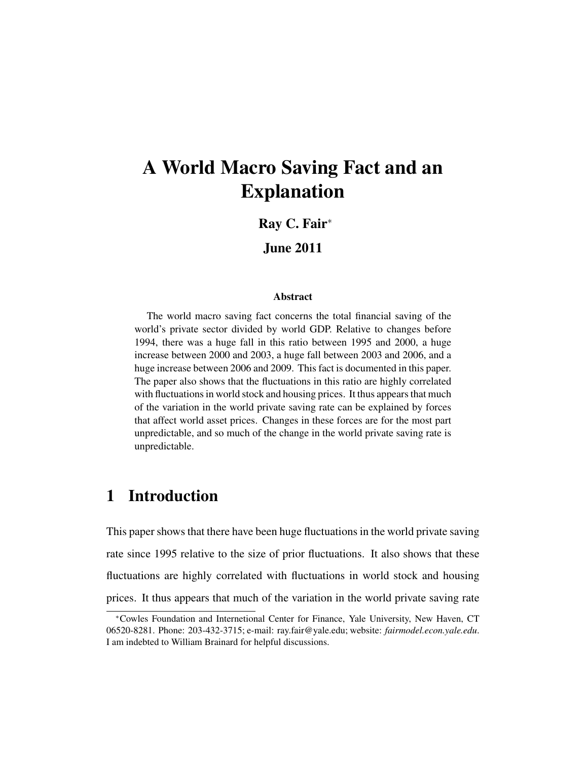# A World Macro Saving Fact and an Explanation

#### Ray C. Fair<sup>∗</sup>

#### June 2011

#### Abstract

The world macro saving fact concerns the total financial saving of the world's private sector divided by world GDP. Relative to changes before 1994, there was a huge fall in this ratio between 1995 and 2000, a huge increase between 2000 and 2003, a huge fall between 2003 and 2006, and a huge increase between 2006 and 2009. This fact is documented in this paper. The paper also shows that the fluctuations in this ratio are highly correlated with fluctuations in world stock and housing prices. It thus appears that much of the variation in the world private saving rate can be explained by forces that affect world asset prices. Changes in these forces are for the most part unpredictable, and so much of the change in the world private saving rate is unpredictable.

# 1 Introduction

This paper shows that there have been huge fluctuations in the world private saving rate since 1995 relative to the size of prior fluctuations. It also shows that these fluctuations are highly correlated with fluctuations in world stock and housing prices. It thus appears that much of the variation in the world private saving rate

<sup>∗</sup>Cowles Foundation and Internetional Center for Finance, Yale University, New Haven, CT 06520-8281. Phone: 203-432-3715; e-mail: ray.fair@yale.edu; website: *fairmodel.econ.yale.edu*. I am indebted to William Brainard for helpful discussions.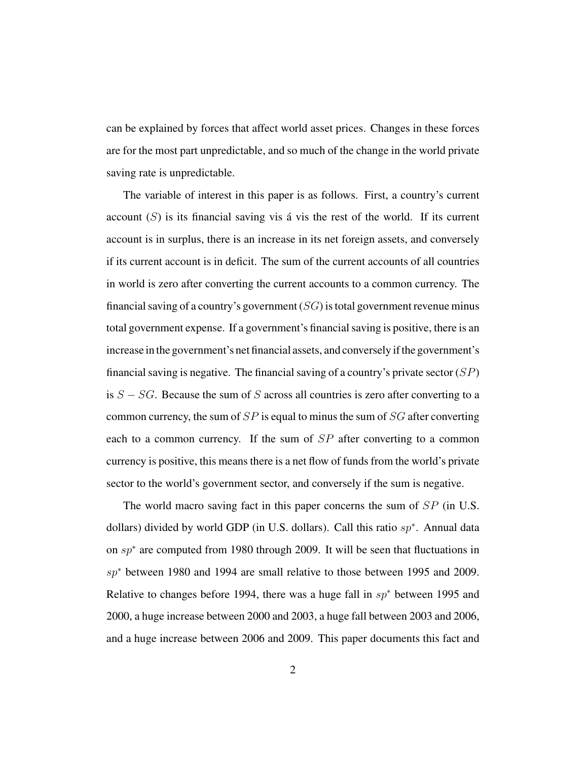can be explained by forces that affect world asset prices. Changes in these forces are for the most part unpredictable, and so much of the change in the world private saving rate is unpredictable.

The variable of interest in this paper is as follows. First, a country's current account  $(S)$  is its financial saving vis á vis the rest of the world. If its current account is in surplus, there is an increase in its net foreign assets, and conversely if its current account is in deficit. The sum of the current accounts of all countries in world is zero after converting the current accounts to a common currency. The financial saving of a country's government  $(SG)$  is total government revenue minus total government expense. If a government's financial saving is positive, there is an increase in the government's net financial assets, and conversely if the government's financial saving is negative. The financial saving of a country's private sector  $(SP)$ is  $S - SG$ . Because the sum of S across all countries is zero after converting to a common currency, the sum of  $SP$  is equal to minus the sum of  $SG$  after converting each to a common currency. If the sum of SP after converting to a common currency is positive, this means there is a net flow of funds from the world's private sector to the world's government sector, and conversely if the sum is negative.

The world macro saving fact in this paper concerns the sum of SP (in U.S. dollars) divided by world GDP (in U.S. dollars). Call this ratio  $sp^*$ . Annual data on sp<sup>∗</sup> are computed from 1980 through 2009. It will be seen that fluctuations in sp<sup>\*</sup> between 1980 and 1994 are small relative to those between 1995 and 2009. Relative to changes before 1994, there was a huge fall in  $sp*$  between 1995 and 2000, a huge increase between 2000 and 2003, a huge fall between 2003 and 2006, and a huge increase between 2006 and 2009. This paper documents this fact and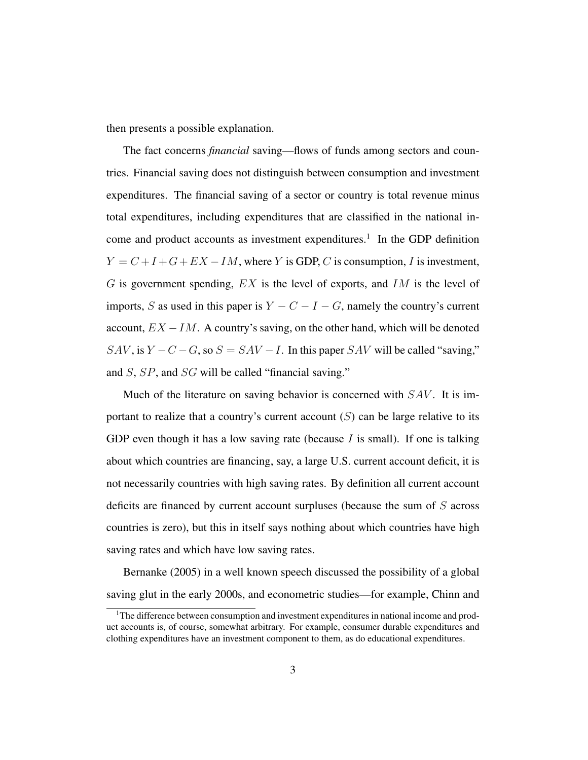then presents a possible explanation.

The fact concerns *financial* saving—flows of funds among sectors and countries. Financial saving does not distinguish between consumption and investment expenditures. The financial saving of a sector or country is total revenue minus total expenditures, including expenditures that are classified in the national income and product accounts as investment expenditures.<sup>1</sup> In the GDP definition  $Y = C + I + G + EX - IM$ , where Y is GDP, C is consumption, I is investment,  $G$  is government spending,  $EX$  is the level of exports, and  $IM$  is the level of imports, S as used in this paper is  $Y - C - I - G$ , namely the country's current account,  $EX - IM$ . A country's saving, on the other hand, which will be denoted  $SAV$ , is  $Y - C - G$ , so  $S = SAV - I$ . In this paper  $SAV$  will be called "saving," and S, SP, and SG will be called "financial saving."

Much of the literature on saving behavior is concerned with  $SAV$ . It is important to realize that a country's current account  $(S)$  can be large relative to its GDP even though it has a low saving rate (because  $I$  is small). If one is talking about which countries are financing, say, a large U.S. current account deficit, it is not necessarily countries with high saving rates. By definition all current account deficits are financed by current account surpluses (because the sum of S across countries is zero), but this in itself says nothing about which countries have high saving rates and which have low saving rates.

Bernanke (2005) in a well known speech discussed the possibility of a global saving glut in the early 2000s, and econometric studies—for example, Chinn and

<sup>&</sup>lt;sup>1</sup>The difference between consumption and investment expenditures in national income and product accounts is, of course, somewhat arbitrary. For example, consumer durable expenditures and clothing expenditures have an investment component to them, as do educational expenditures.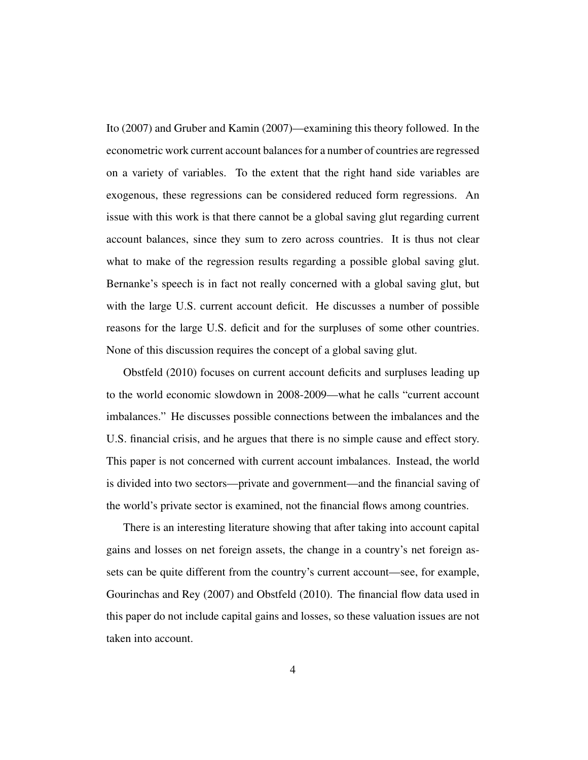Ito (2007) and Gruber and Kamin (2007)—examining this theory followed. In the econometric work current account balances for a number of countries are regressed on a variety of variables. To the extent that the right hand side variables are exogenous, these regressions can be considered reduced form regressions. An issue with this work is that there cannot be a global saving glut regarding current account balances, since they sum to zero across countries. It is thus not clear what to make of the regression results regarding a possible global saving glut. Bernanke's speech is in fact not really concerned with a global saving glut, but with the large U.S. current account deficit. He discusses a number of possible reasons for the large U.S. deficit and for the surpluses of some other countries. None of this discussion requires the concept of a global saving glut.

Obstfeld (2010) focuses on current account deficits and surpluses leading up to the world economic slowdown in 2008-2009—what he calls "current account imbalances." He discusses possible connections between the imbalances and the U.S. financial crisis, and he argues that there is no simple cause and effect story. This paper is not concerned with current account imbalances. Instead, the world is divided into two sectors—private and government—and the financial saving of the world's private sector is examined, not the financial flows among countries.

There is an interesting literature showing that after taking into account capital gains and losses on net foreign assets, the change in a country's net foreign assets can be quite different from the country's current account—see, for example, Gourinchas and Rey (2007) and Obstfeld (2010). The financial flow data used in this paper do not include capital gains and losses, so these valuation issues are not taken into account.

4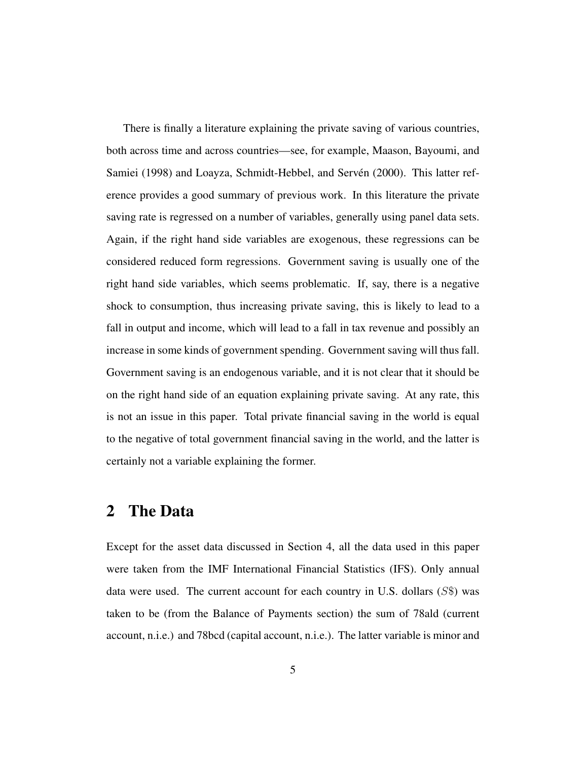There is finally a literature explaining the private saving of various countries, both across time and across countries—see, for example, Maason, Bayoumi, and Samiei (1998) and Loayza, Schmidt-Hebbel, and Servén (2000). This latter reference provides a good summary of previous work. In this literature the private saving rate is regressed on a number of variables, generally using panel data sets. Again, if the right hand side variables are exogenous, these regressions can be considered reduced form regressions. Government saving is usually one of the right hand side variables, which seems problematic. If, say, there is a negative shock to consumption, thus increasing private saving, this is likely to lead to a fall in output and income, which will lead to a fall in tax revenue and possibly an increase in some kinds of government spending. Government saving will thus fall. Government saving is an endogenous variable, and it is not clear that it should be on the right hand side of an equation explaining private saving. At any rate, this is not an issue in this paper. Total private financial saving in the world is equal to the negative of total government financial saving in the world, and the latter is certainly not a variable explaining the former.

# 2 The Data

Except for the asset data discussed in Section 4, all the data used in this paper were taken from the IMF International Financial Statistics (IFS). Only annual data were used. The current account for each country in U.S. dollars  $(S<sup>\</sup>)$  was taken to be (from the Balance of Payments section) the sum of 78ald (current account, n.i.e.) and 78bcd (capital account, n.i.e.). The latter variable is minor and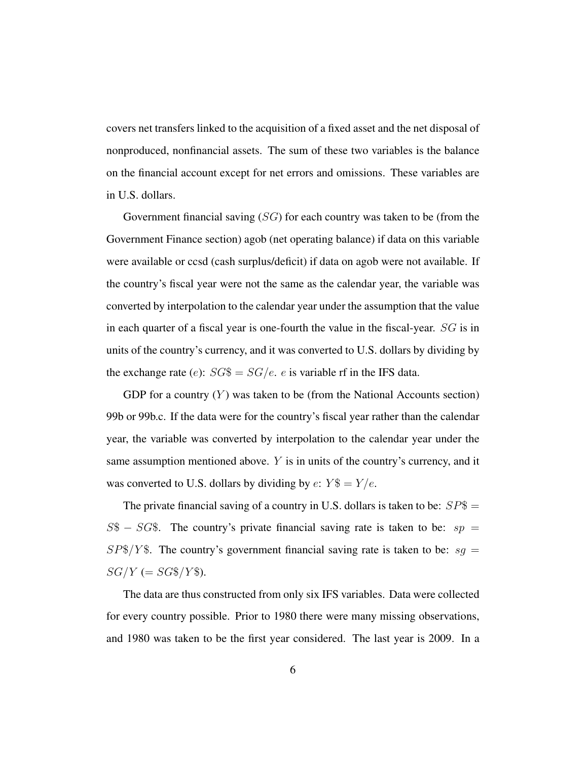covers net transfers linked to the acquisition of a fixed asset and the net disposal of nonproduced, nonfinancial assets. The sum of these two variables is the balance on the financial account except for net errors and omissions. These variables are in U.S. dollars.

Government financial saving  $(SG)$  for each country was taken to be (from the Government Finance section) agob (net operating balance) if data on this variable were available or ccsd (cash surplus/deficit) if data on agob were not available. If the country's fiscal year were not the same as the calendar year, the variable was converted by interpolation to the calendar year under the assumption that the value in each quarter of a fiscal year is one-fourth the value in the fiscal-year. SG is in units of the country's currency, and it was converted to U.S. dollars by dividing by the exchange rate (e):  $SG\$  =  $SG/e$ . e is variable rf in the IFS data.

GDP for a country  $(Y)$  was taken to be (from the National Accounts section) 99b or 99b.c. If the data were for the country's fiscal year rather than the calendar year, the variable was converted by interpolation to the calendar year under the same assumption mentioned above. Y is in units of the country's currency, and it was converted to U.S. dollars by dividing by  $e: Y$ = Y/e$ .

The private financial saving of a country in U.S. dollars is taken to be:  $SP$ =$  $S\$  –  $SG\$ . The country's private financial saving rate is taken to be:  $sp =$  $SP$/Y$$ . The country's government financial saving rate is taken to be:  $sq =$  $SG/Y = SG\$/Y\$ .

The data are thus constructed from only six IFS variables. Data were collected for every country possible. Prior to 1980 there were many missing observations, and 1980 was taken to be the first year considered. The last year is 2009. In a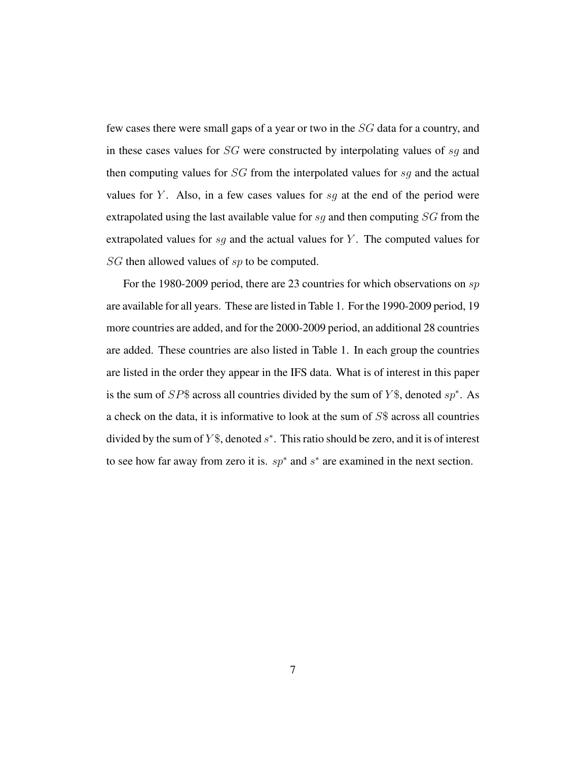few cases there were small gaps of a year or two in the SG data for a country, and in these cases values for SG were constructed by interpolating values of sg and then computing values for SG from the interpolated values for sg and the actual values for Y. Also, in a few cases values for  $sg$  at the end of the period were extrapolated using the last available value for sq and then computing  $SG$  from the extrapolated values for  $sg$  and the actual values for Y. The computed values for SG then allowed values of sp to be computed.

For the 1980-2009 period, there are 23 countries for which observations on sp are available for all years. These are listed in Table 1. For the 1990-2009 period, 19 more countries are added, and for the 2000-2009 period, an additional 28 countries are added. These countries are also listed in Table 1. In each group the countries are listed in the order they appear in the IFS data. What is of interest in this paper is the sum of  $SP$$  across all countries divided by the sum of Y\$, denoted  $sp^*$ . As a check on the data, it is informative to look at the sum of S\$ across all countries divided by the sum of  $Y\$ , denoted  $s^*$ . This ratio should be zero, and it is of interest to see how far away from zero it is.  $sp^*$  and  $s^*$  are examined in the next section.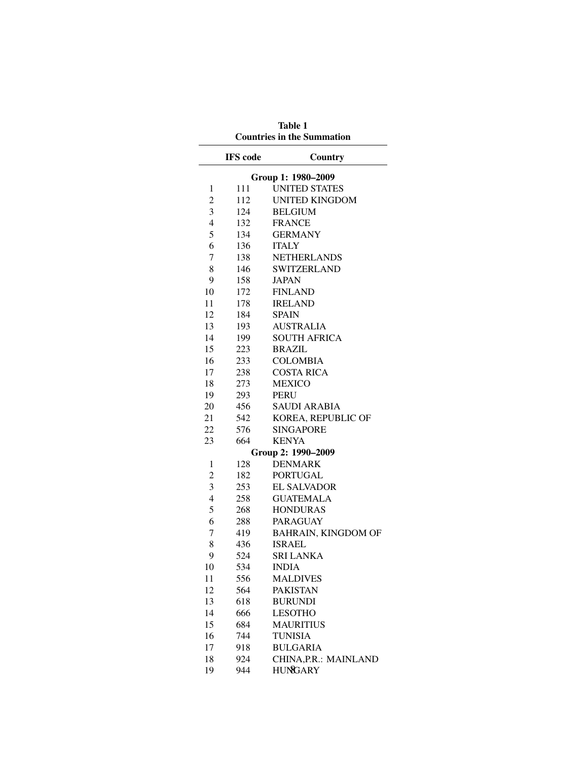| <b>Countries in the Summation</b> |                 |                                          |  |  |  |
|-----------------------------------|-----------------|------------------------------------------|--|--|--|
|                                   | <b>IFS</b> code | Country                                  |  |  |  |
| Group 1: 1980-2009                |                 |                                          |  |  |  |
| 1                                 | 111             | <b>UNITED STATES</b>                     |  |  |  |
| 2                                 | 112             | <b>UNITED KINGDOM</b>                    |  |  |  |
| 3                                 | 124             | <b>BELGIUM</b>                           |  |  |  |
| $\overline{4}$                    | 132             | <b>FRANCE</b>                            |  |  |  |
| 5                                 | 134             | <b>GERMANY</b>                           |  |  |  |
| 6                                 | 136             | <b>ITALY</b>                             |  |  |  |
| 7                                 | 138             | <b>NETHERLANDS</b>                       |  |  |  |
| 8                                 | 146             | <b>SWITZERLAND</b>                       |  |  |  |
| 9                                 | 158             | <b>JAPAN</b>                             |  |  |  |
| 10                                | 172             | <b>FINLAND</b>                           |  |  |  |
| 11                                | 178             | <b>IRELAND</b>                           |  |  |  |
| 12                                | 184             | <b>SPAIN</b>                             |  |  |  |
| 13                                | 193             | <b>AUSTRALIA</b>                         |  |  |  |
| 14                                | 199             | <b>SOUTH AFRICA</b>                      |  |  |  |
| 15                                | 223             | <b>BRAZIL</b>                            |  |  |  |
| 16                                | 233             | COLOMBIA                                 |  |  |  |
| 17                                | 238             | <b>COSTA RICA</b>                        |  |  |  |
| 18                                | 273             | <b>MEXICO</b>                            |  |  |  |
| 19                                | 293             | <b>PERU</b>                              |  |  |  |
| 20                                | 456             | <b>SAUDI ARABIA</b>                      |  |  |  |
| 21                                | 542             | KOREA, REPUBLIC OF                       |  |  |  |
| 22                                | 576             | <b>SINGAPORE</b>                         |  |  |  |
| 23                                | 664             | <b>KENYA</b>                             |  |  |  |
| Group 2: 1990-2009                |                 |                                          |  |  |  |
| 1                                 | 128             | <b>DENMARK</b>                           |  |  |  |
| $\overline{c}$                    | 182             | <b>PORTUGAL</b>                          |  |  |  |
| 3                                 | 253             | <b>EL SALVADOR</b>                       |  |  |  |
| $\overline{4}$                    | 258             | <b>GUATEMALA</b>                         |  |  |  |
| 5                                 | 268             | <b>HONDURAS</b>                          |  |  |  |
| 6                                 | 288             | <b>PARAGUAY</b>                          |  |  |  |
| 7                                 | 419             | BAHRAIN, KINGDOM OF                      |  |  |  |
| 8<br>9                            | 436             | <b>ISRAEL</b>                            |  |  |  |
|                                   | 524             | <b>SRI LANKA</b><br><b>INDIA</b>         |  |  |  |
| 10<br>11                          | 534             | <b>MALDIVES</b>                          |  |  |  |
| 12                                | 556             |                                          |  |  |  |
| 13                                | 564<br>618      | <b>PAKISTAN</b><br><b>BURUNDI</b>        |  |  |  |
| 14                                | 666             | <b>LESOTHO</b>                           |  |  |  |
| 15                                | 684             | <b>MAURITIUS</b>                         |  |  |  |
| 16                                |                 | <b>TUNISIA</b>                           |  |  |  |
| 17                                | 744             |                                          |  |  |  |
| 18                                | 918<br>924      | <b>BULGARIA</b><br>CHINA, P.R.: MAINLAND |  |  |  |
| 19                                | 944             | HUNGARY                                  |  |  |  |
|                                   |                 |                                          |  |  |  |

Table 1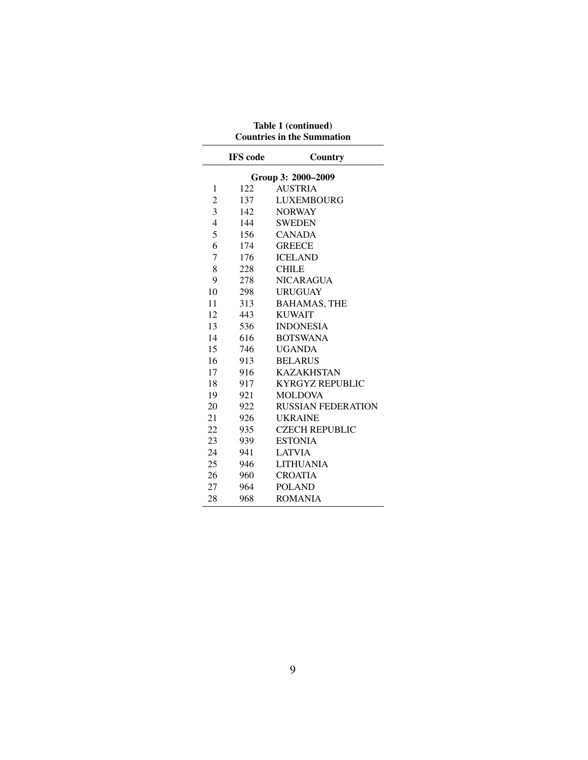| <b>Countries in the Summation</b> |                 |                           |  |  |  |  |
|-----------------------------------|-----------------|---------------------------|--|--|--|--|
|                                   | <b>IFS</b> code | Country                   |  |  |  |  |
| Group 3: 2000-2009                |                 |                           |  |  |  |  |
| 1                                 | 122             | <b>AUSTRIA</b>            |  |  |  |  |
| $\overline{c}$                    | 137             | <b>LUXEMBOURG</b>         |  |  |  |  |
| 3                                 | 142             | <b>NORWAY</b>             |  |  |  |  |
| $\overline{4}$                    | 144             | <b>SWEDEN</b>             |  |  |  |  |
| 5                                 | 156             | <b>CANADA</b>             |  |  |  |  |
| 6                                 | 174             | <b>GREECE</b>             |  |  |  |  |
| 7                                 | 176             | <b>ICELAND</b>            |  |  |  |  |
| 8                                 | 228             | <b>CHILE</b>              |  |  |  |  |
| 9                                 | 278             | <b>NICARAGUA</b>          |  |  |  |  |
| 10                                | 298             | <b>URUGUAY</b>            |  |  |  |  |
| 11                                | 313             | <b>BAHAMAS, THE</b>       |  |  |  |  |
| 12                                | 443             | <b>KUWAIT</b>             |  |  |  |  |
| 13                                | 536             | <b>INDONESIA</b>          |  |  |  |  |
| 14                                | 616             | <b>BOTSWANA</b>           |  |  |  |  |
| 15                                | 746             | <b>UGANDA</b>             |  |  |  |  |
| 16                                | 913             | <b>BELARUS</b>            |  |  |  |  |
| 17                                | 916             | <b>KAZAKHSTAN</b>         |  |  |  |  |
| 18                                | 917             | <b>KYRGYZ REPUBLIC</b>    |  |  |  |  |
| 19                                | 921             | <b>MOLDOVA</b>            |  |  |  |  |
| 20                                | 922             | <b>RUSSIAN FEDERATION</b> |  |  |  |  |
| 21                                | 926             | <b>UKRAINE</b>            |  |  |  |  |
| 22                                | 935             | <b>CZECH REPUBLIC</b>     |  |  |  |  |
| 23                                | 939             | <b>ESTONIA</b>            |  |  |  |  |
| 24                                | 941             | <b>LATVIA</b>             |  |  |  |  |
| 25                                | 946             | <b>LITHUANIA</b>          |  |  |  |  |
| 26                                | 960             | <b>CROATIA</b>            |  |  |  |  |
| 27                                | 964             | <b>POLAND</b>             |  |  |  |  |
| 28                                | 968             | <b>ROMANIA</b>            |  |  |  |  |

Table 1 (continued)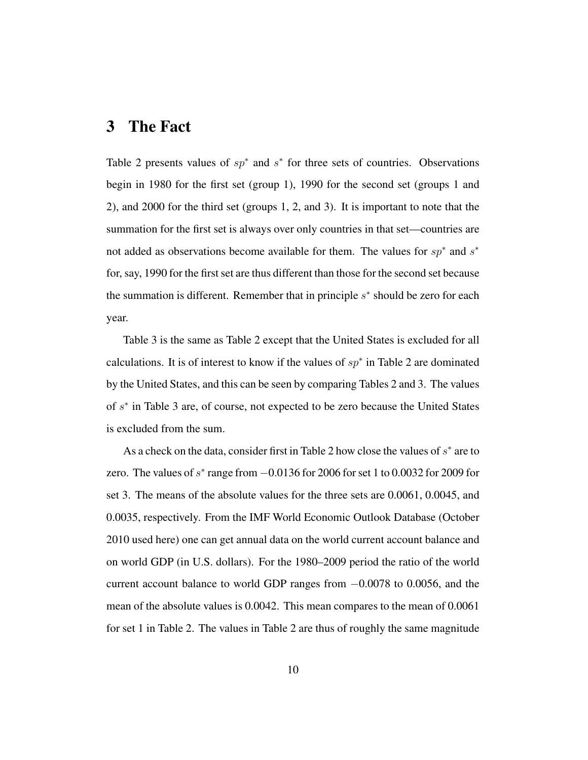### 3 The Fact

Table 2 presents values of  $sp^*$  and  $s^*$  for three sets of countries. Observations begin in 1980 for the first set (group 1), 1990 for the second set (groups 1 and 2), and 2000 for the third set (groups 1, 2, and 3). It is important to note that the summation for the first set is always over only countries in that set—countries are not added as observations become available for them. The values for  $sp^*$  and  $s^*$ for, say, 1990 for the first set are thus different than those for the second set because the summation is different. Remember that in principle  $s^*$  should be zero for each year.

Table 3 is the same as Table 2 except that the United States is excluded for all calculations. It is of interest to know if the values of  $sp^*$  in Table 2 are dominated by the United States, and this can be seen by comparing Tables 2 and 3. The values of  $s^*$  in Table 3 are, of course, not expected to be zero because the United States is excluded from the sum.

As a check on the data, consider first in Table 2 how close the values of  $s^*$  are to zero. The values of  $s^*$  range from  $-0.0136$  for 2006 for set 1 to 0.0032 for 2009 for set 3. The means of the absolute values for the three sets are 0.0061, 0.0045, and 0.0035, respectively. From the IMF World Economic Outlook Database (October 2010 used here) one can get annual data on the world current account balance and on world GDP (in U.S. dollars). For the 1980–2009 period the ratio of the world current account balance to world GDP ranges from −0.0078 to 0.0056, and the mean of the absolute values is 0.0042. This mean compares to the mean of 0.0061 for set 1 in Table 2. The values in Table 2 are thus of roughly the same magnitude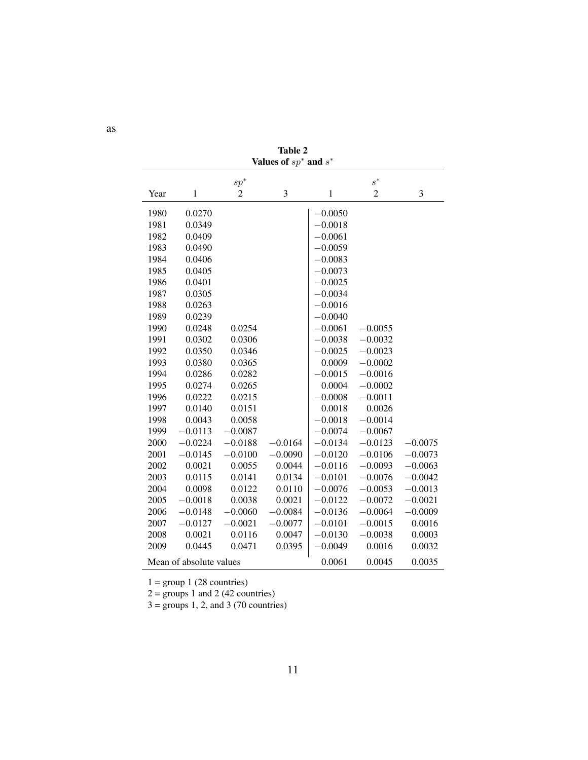| Values of $sp^*$ and $s^*$ |              |                |           |              |                |           |  |  |
|----------------------------|--------------|----------------|-----------|--------------|----------------|-----------|--|--|
|                            |              | $sp^*$         |           |              | $s^*$          |           |  |  |
| Year                       | $\mathbf{1}$ | $\overline{c}$ | 3         | $\mathbf{1}$ | $\overline{2}$ | 3         |  |  |
| 1980                       | 0.0270       |                |           | $-0.0050$    |                |           |  |  |
| 1981                       | 0.0349       |                |           | $-0.0018$    |                |           |  |  |
| 1982                       | 0.0409       |                |           | $-0.0061$    |                |           |  |  |
| 1983                       | 0.0490       |                |           | $-0.0059$    |                |           |  |  |
| 1984                       | 0.0406       |                |           | $-0.0083$    |                |           |  |  |
| 1985                       | 0.0405       |                |           | $-0.0073$    |                |           |  |  |
| 1986                       | 0.0401       |                |           | $-0.0025$    |                |           |  |  |
| 1987                       | 0.0305       |                |           | $-0.0034$    |                |           |  |  |
| 1988                       | 0.0263       |                |           | $-0.0016$    |                |           |  |  |
| 1989                       | 0.0239       |                |           | $-0.0040$    |                |           |  |  |
| 1990                       | 0.0248       | 0.0254         |           | $-0.0061$    | $-0.0055$      |           |  |  |
| 1991                       | 0.0302       | 0.0306         |           | $-0.0038$    | $-0.0032$      |           |  |  |
| 1992                       | 0.0350       | 0.0346         |           | $-0.0025$    | $-0.0023$      |           |  |  |
| 1993                       | 0.0380       | 0.0365         |           | 0.0009       | $-0.0002$      |           |  |  |
| 1994                       | 0.0286       | 0.0282         |           | $-0.0015$    | $-0.0016$      |           |  |  |
| 1995                       | 0.0274       | 0.0265         |           | 0.0004       | $-0.0002$      |           |  |  |
| 1996                       | 0.0222       | 0.0215         |           | $-0.0008$    | $-0.0011$      |           |  |  |
| 1997                       | 0.0140       | 0.0151         |           | 0.0018       | 0.0026         |           |  |  |
| 1998                       | 0.0043       | 0.0058         |           | $-0.0018$    | $-0.0014$      |           |  |  |
| 1999                       | $-0.0113$    | $-0.0087$      |           | $-0.0074$    | $-0.0067$      |           |  |  |
| 2000                       | $-0.0224$    | $-0.0188$      | $-0.0164$ | $-0.0134$    | $-0.0123$      | $-0.0075$ |  |  |
| 2001                       | $-0.0145$    | $-0.0100$      | $-0.0090$ | $-0.0120$    | $-0.0106$      | $-0.0073$ |  |  |
| 2002                       | 0.0021       | 0.0055         | 0.0044    | $-0.0116$    | $-0.0093$      | $-0.0063$ |  |  |
| 2003                       | 0.0115       | 0.0141         | 0.0134    | $-0.0101$    | $-0.0076$      | $-0.0042$ |  |  |
| 2004                       | 0.0098       | 0.0122         | 0.0110    | $-0.0076$    | $-0.0053$      | $-0.0013$ |  |  |
| 2005                       | $-0.0018$    | 0.0038         | 0.0021    | $-0.0122$    | $-0.0072$      | $-0.0021$ |  |  |
| 2006                       | $-0.0148$    | $-0.0060$      | $-0.0084$ | $-0.0136$    | $-0.0064$      | $-0.0009$ |  |  |
| 2007                       | $-0.0127$    | $-0.0021$      | $-0.0077$ | $-0.0101$    | $-0.0015$      | 0.0016    |  |  |
| 2008                       | 0.0021       | 0.0116         | 0.0047    | $-0.0130$    | $-0.0038$      | 0.0003    |  |  |
| 2009                       | 0.0445       | 0.0471         | 0.0395    | $-0.0049$    | 0.0016         | 0.0032    |  |  |
| Mean of absolute values    |              |                |           | 0.0061       | 0.0045         | 0.0035    |  |  |

Table 2 Values of  $sp^*$  and  $s$ ∗

 $1 = \text{group } 1 (28 \text{ countries})$ 

 $2 =$  groups 1 and 2 (42 countries)

 $3 = \text{groups } 1, 2, \text{ and } 3 (70 \text{ countries})$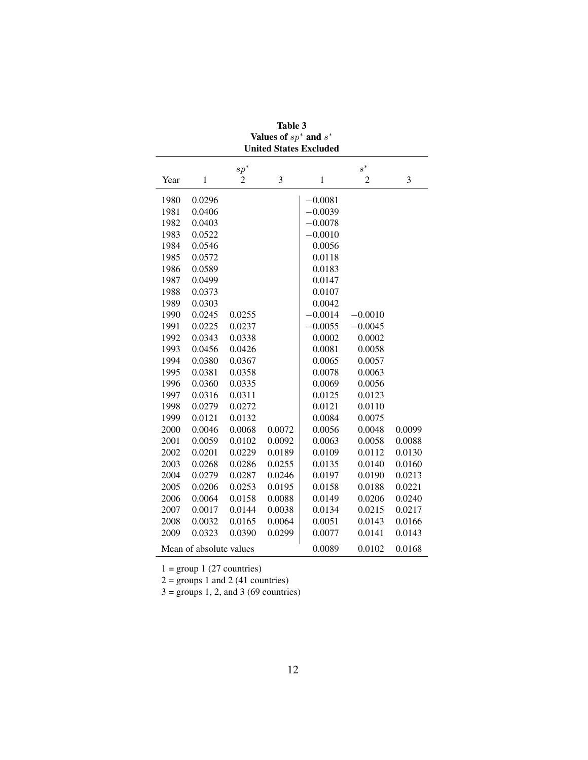| Table 3                                               |        |                |        |              |           |        |  |  |  |
|-------------------------------------------------------|--------|----------------|--------|--------------|-----------|--------|--|--|--|
| Values of $sp^*$ and $s^*$                            |        |                |        |              |           |        |  |  |  |
| <b>United States Excluded</b>                         |        |                |        |              |           |        |  |  |  |
| $s^*$<br>$sp^*$                                       |        |                |        |              |           |        |  |  |  |
| Year                                                  | 1      | $\overline{c}$ | 3      | $\mathbf{1}$ | 2         | 3      |  |  |  |
| 1980                                                  | 0.0296 |                |        | $-0.0081$    |           |        |  |  |  |
| 1981                                                  | 0.0406 |                |        | $-0.0039$    |           |        |  |  |  |
| 1982                                                  | 0.0403 |                |        | $-0.0078$    |           |        |  |  |  |
| 1983                                                  | 0.0522 |                |        | $-0.0010$    |           |        |  |  |  |
| 1984                                                  | 0.0546 |                |        | 0.0056       |           |        |  |  |  |
| 1985                                                  | 0.0572 |                |        | 0.0118       |           |        |  |  |  |
| 1986                                                  | 0.0589 |                |        | 0.0183       |           |        |  |  |  |
| 1987                                                  | 0.0499 |                |        | 0.0147       |           |        |  |  |  |
| 1988                                                  | 0.0373 |                |        | 0.0107       |           |        |  |  |  |
| 1989                                                  | 0.0303 |                |        | 0.0042       |           |        |  |  |  |
| 1990                                                  | 0.0245 | 0.0255         |        | $-0.0014$    | $-0.0010$ |        |  |  |  |
| 1991                                                  | 0.0225 | 0.0237         |        | $-0.0055$    | $-0.0045$ |        |  |  |  |
| 1992                                                  | 0.0343 | 0.0338         |        | 0.0002       | 0.0002    |        |  |  |  |
| 1993                                                  | 0.0456 | 0.0426         |        | 0.0081       | 0.0058    |        |  |  |  |
| 1994                                                  | 0.0380 | 0.0367         |        | 0.0065       | 0.0057    |        |  |  |  |
| 1995                                                  | 0.0381 | 0.0358         |        | 0.0078       | 0.0063    |        |  |  |  |
| 1996                                                  | 0.0360 | 0.0335         |        | 0.0069       | 0.0056    |        |  |  |  |
| 1997                                                  | 0.0316 | 0.0311         |        | 0.0125       | 0.0123    |        |  |  |  |
| 1998                                                  | 0.0279 | 0.0272         |        | 0.0121       | 0.0110    |        |  |  |  |
| 1999                                                  | 0.0121 | 0.0132         |        | 0.0084       | 0.0075    |        |  |  |  |
| 2000                                                  | 0.0046 | 0.0068         | 0.0072 | 0.0056       | 0.0048    | 0.0099 |  |  |  |
| 2001                                                  | 0.0059 | 0.0102         | 0.0092 | 0.0063       | 0.0058    | 0.0088 |  |  |  |
| 2002                                                  | 0.0201 | 0.0229         | 0.0189 | 0.0109       | 0.0112    | 0.0130 |  |  |  |
| 2003                                                  | 0.0268 | 0.0286         | 0.0255 | 0.0135       | 0.0140    | 0.0160 |  |  |  |
| 2004                                                  | 0.0279 | 0.0287         | 0.0246 | 0.0197       | 0.0190    | 0.0213 |  |  |  |
| 2005                                                  | 0.0206 | 0.0253         | 0.0195 | 0.0158       | 0.0188    | 0.0221 |  |  |  |
| 2006                                                  | 0.0064 | 0.0158         | 0.0088 | 0.0149       | 0.0206    | 0.0240 |  |  |  |
| 2007                                                  | 0.0017 | 0.0144         | 0.0038 | 0.0134       | 0.0215    | 0.0217 |  |  |  |
| 2008                                                  | 0.0032 | 0.0165         | 0.0064 | 0.0051       | 0.0143    | 0.0166 |  |  |  |
| 2009                                                  | 0.0323 | 0.0390         | 0.0299 | 0.0077       | 0.0141    | 0.0143 |  |  |  |
| Mean of absolute values<br>0.0089<br>0.0102<br>0.0168 |        |                |        |              |           |        |  |  |  |

 $1 = \text{group } 1 (27 \text{ countries})$ 

 $2 =$  groups 1 and 2 (41 countries)

 $3 =$  groups 1, 2, and 3 (69 countries)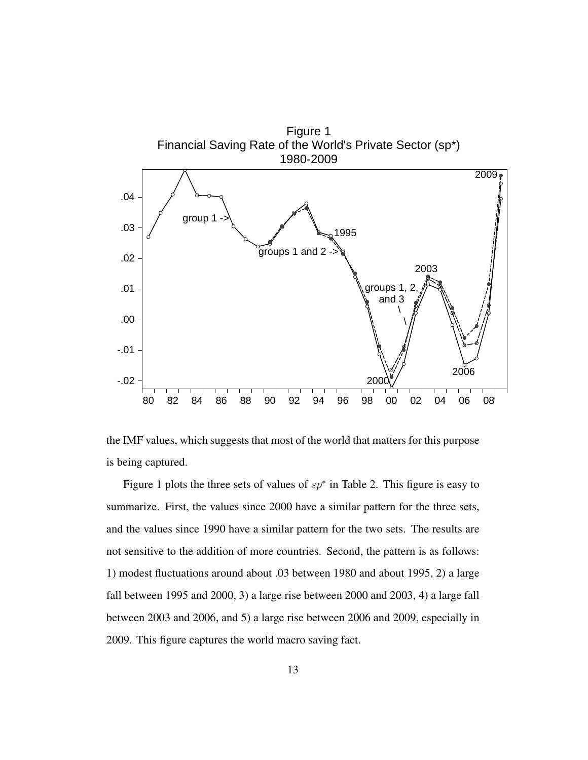

the IMF values, which suggests that most of the world that matters for this purpose is being captured.

Figure 1 plots the three sets of values of  $sp*$  in Table 2. This figure is easy to summarize. First, the values since 2000 have a similar pattern for the three sets, and the values since 1990 have a similar pattern for the two sets. The results are not sensitive to the addition of more countries. Second, the pattern is as follows: 1) modest fluctuations around about .03 between 1980 and about 1995, 2) a large fall between 1995 and 2000, 3) a large rise between 2000 and 2003, 4) a large fall between 2003 and 2006, and 5) a large rise between 2006 and 2009, especially in 2009. This figure captures the world macro saving fact.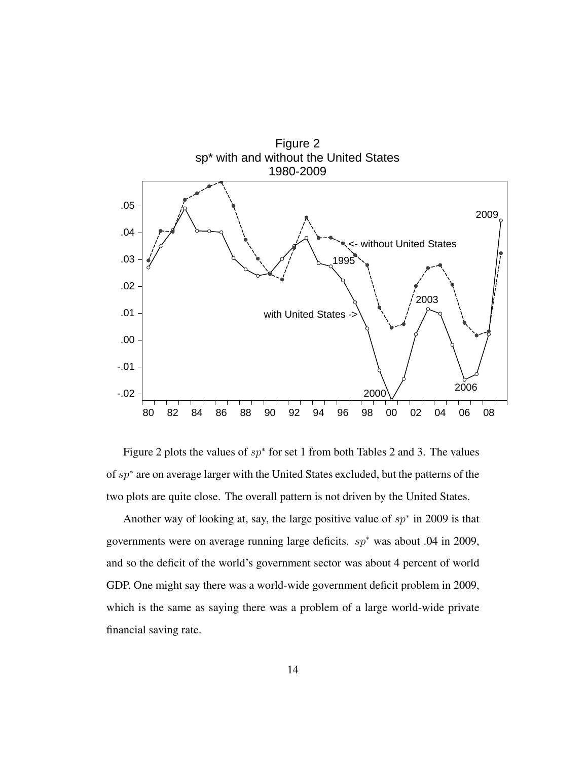

Figure 2 plots the values of  $sp^*$  for set 1 from both Tables 2 and 3. The values of sp<sup>\*</sup> are on average larger with the United States excluded, but the patterns of the two plots are quite close. The overall pattern is not driven by the United States.

Another way of looking at, say, the large positive value of  $sp^*$  in 2009 is that governments were on average running large deficits. sp<sup>∗</sup> was about .04 in 2009, and so the deficit of the world's government sector was about 4 percent of world GDP. One might say there was a world-wide government deficit problem in 2009, which is the same as saying there was a problem of a large world-wide private financial saving rate.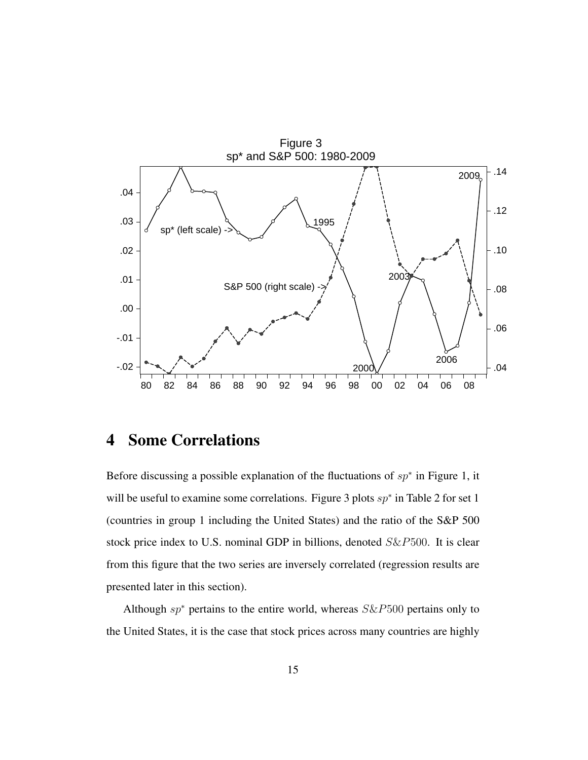

### 4 Some Correlations

Before discussing a possible explanation of the fluctuations of  $sp^*$  in Figure 1, it will be useful to examine some correlations. Figure 3 plots  $sp*$  in Table 2 for set 1 (countries in group 1 including the United States) and the ratio of the S&P 500 stock price index to U.S. nominal GDP in billions, denoted S&P500. It is clear from this figure that the two series are inversely correlated (regression results are presented later in this section).

Although  $sp^*$  pertains to the entire world, whereas  $S\&P500$  pertains only to the United States, it is the case that stock prices across many countries are highly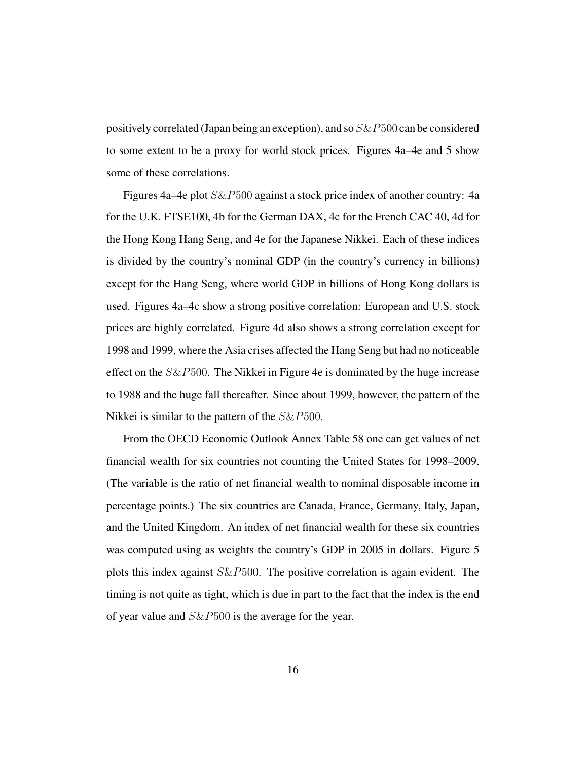positively correlated (Japan being an exception), and so  $S\&P500$  can be considered to some extent to be a proxy for world stock prices. Figures 4a–4e and 5 show some of these correlations.

Figures 4a–4e plot S&P500 against a stock price index of another country: 4a for the U.K. FTSE100, 4b for the German DAX, 4c for the French CAC 40, 4d for the Hong Kong Hang Seng, and 4e for the Japanese Nikkei. Each of these indices is divided by the country's nominal GDP (in the country's currency in billions) except for the Hang Seng, where world GDP in billions of Hong Kong dollars is used. Figures 4a–4c show a strong positive correlation: European and U.S. stock prices are highly correlated. Figure 4d also shows a strong correlation except for 1998 and 1999, where the Asia crises affected the Hang Seng but had no noticeable effect on the  $S\&P500$ . The Nikkei in Figure 4e is dominated by the huge increase to 1988 and the huge fall thereafter. Since about 1999, however, the pattern of the Nikkei is similar to the pattern of the  $S\&P500$ .

From the OECD Economic Outlook Annex Table 58 one can get values of net financial wealth for six countries not counting the United States for 1998–2009. (The variable is the ratio of net financial wealth to nominal disposable income in percentage points.) The six countries are Canada, France, Germany, Italy, Japan, and the United Kingdom. An index of net financial wealth for these six countries was computed using as weights the country's GDP in 2005 in dollars. Figure 5 plots this index against S&P500. The positive correlation is again evident. The timing is not quite as tight, which is due in part to the fact that the index is the end of year value and S&P500 is the average for the year.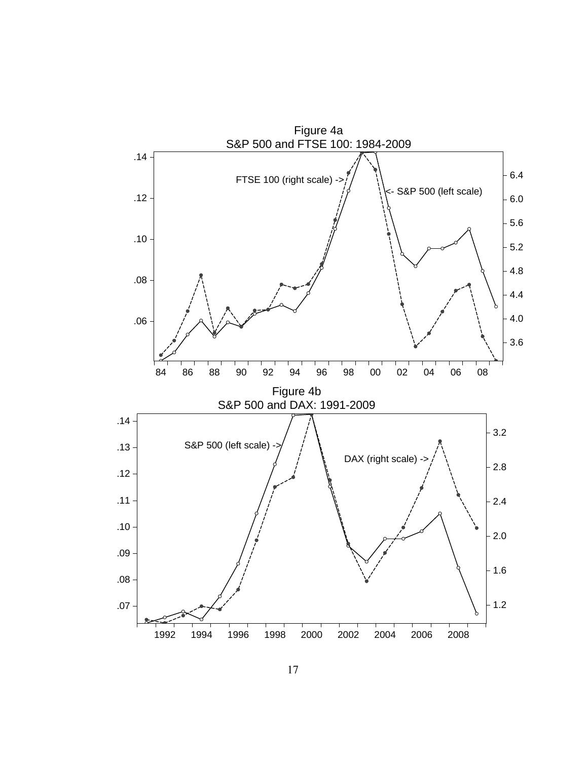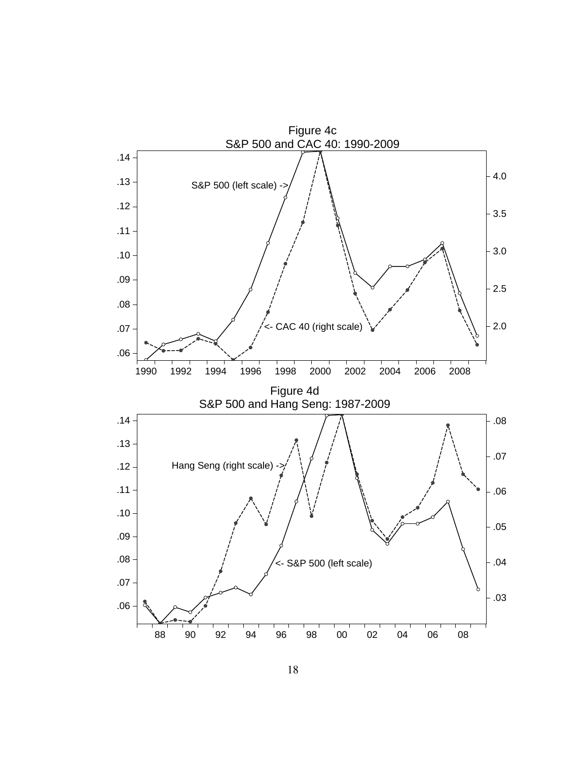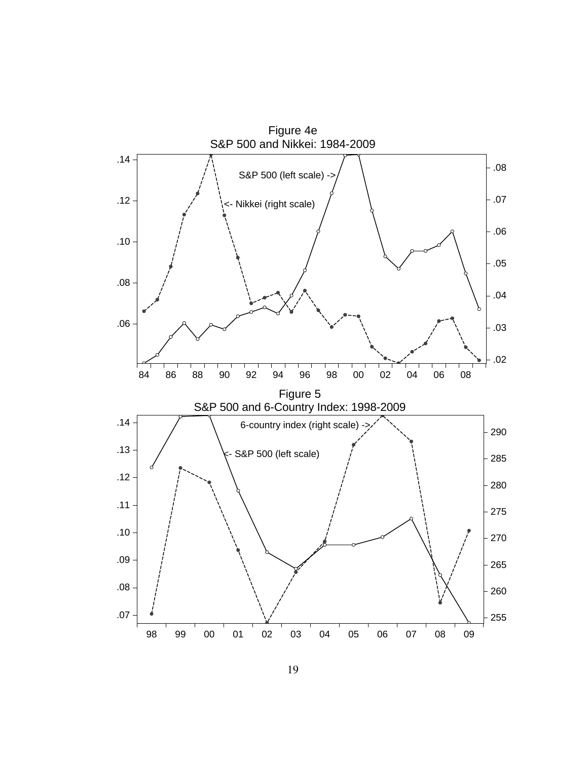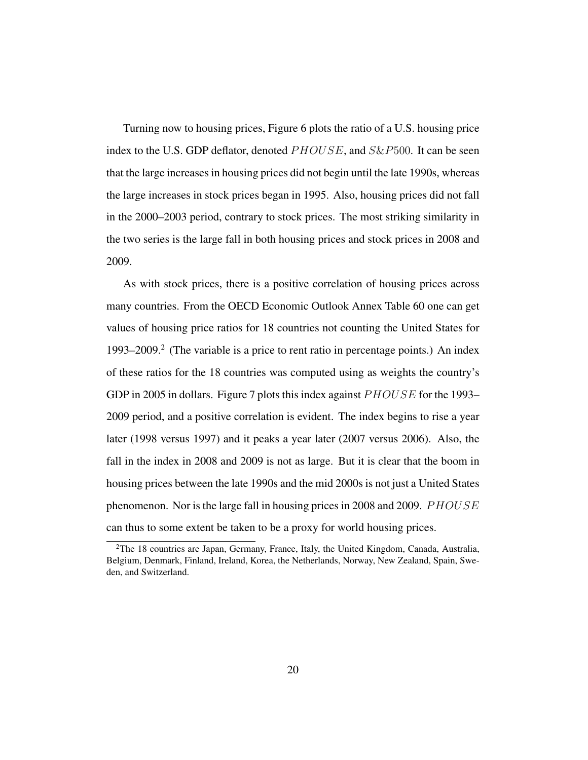Turning now to housing prices, Figure 6 plots the ratio of a U.S. housing price index to the U.S. GDP deflator, denoted  $PHOUSE$ , and  $S\&P500$ . It can be seen that the large increases in housing prices did not begin until the late 1990s, whereas the large increases in stock prices began in 1995. Also, housing prices did not fall in the 2000–2003 period, contrary to stock prices. The most striking similarity in the two series is the large fall in both housing prices and stock prices in 2008 and 2009.

As with stock prices, there is a positive correlation of housing prices across many countries. From the OECD Economic Outlook Annex Table 60 one can get values of housing price ratios for 18 countries not counting the United States for 1993–2009.<sup>2</sup> (The variable is a price to rent ratio in percentage points.) An index of these ratios for the 18 countries was computed using as weights the country's GDP in 2005 in dollars. Figure 7 plots this index against PHOUSE for the 1993– 2009 period, and a positive correlation is evident. The index begins to rise a year later (1998 versus 1997) and it peaks a year later (2007 versus 2006). Also, the fall in the index in 2008 and 2009 is not as large. But it is clear that the boom in housing prices between the late 1990s and the mid 2000s is not just a United States phenomenon. Nor is the large fall in housing prices in 2008 and 2009. PHOUSE can thus to some extent be taken to be a proxy for world housing prices.

<sup>2</sup>The 18 countries are Japan, Germany, France, Italy, the United Kingdom, Canada, Australia, Belgium, Denmark, Finland, Ireland, Korea, the Netherlands, Norway, New Zealand, Spain, Sweden, and Switzerland.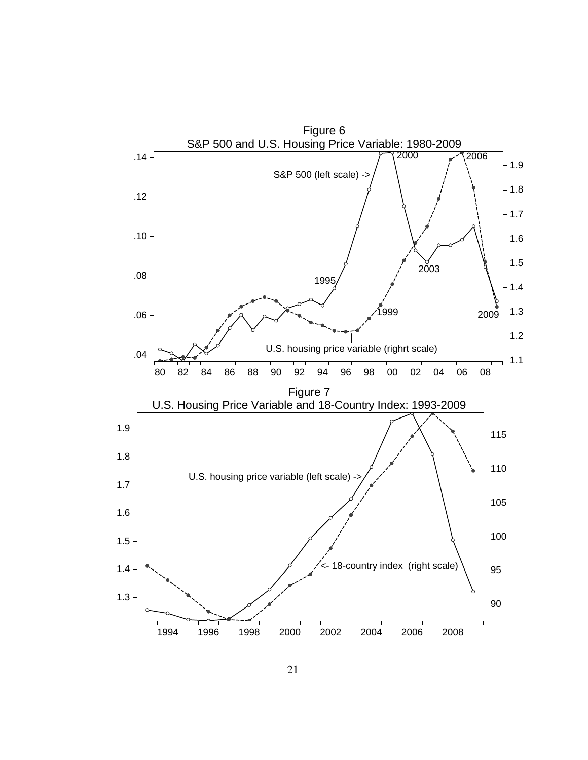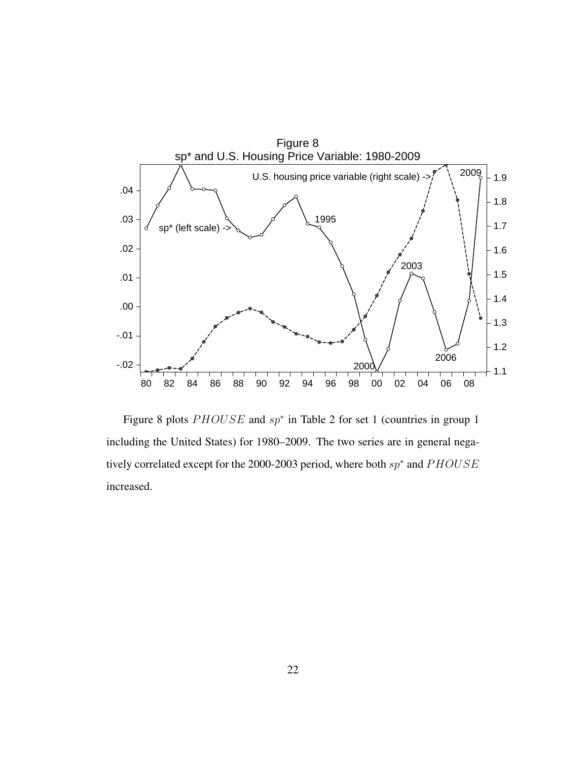

Figure 8 plots  $PHOUSE$  and  $sp<sup>*</sup>$  in Table 2 for set 1 (countries in group 1 including the United States) for 1980–2009. The two series are in general negatively correlated except for the 2000-2003 period, where both  $sp*$  and  $PHOUSE$ increased.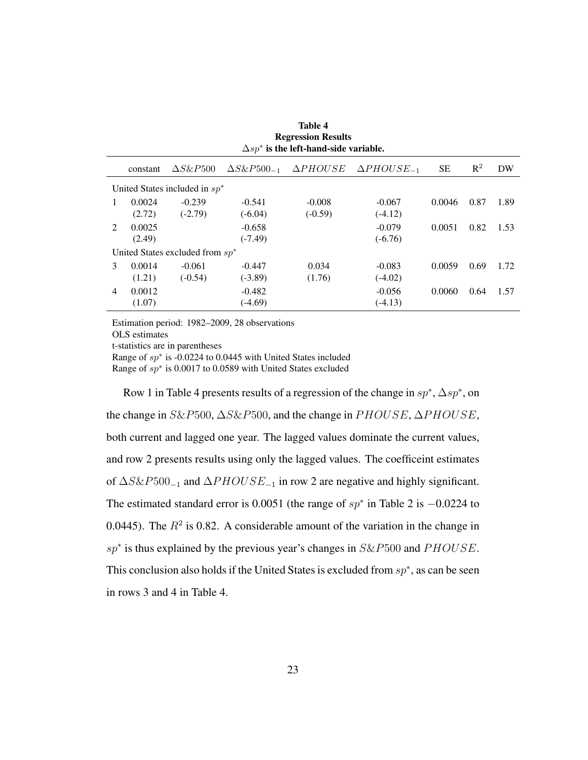| <b>Regression Results</b><br>$\Delta sp^*$ is the left-hand-side variable. |          |                  |                       |                 |                         |        |                |      |  |
|----------------------------------------------------------------------------|----------|------------------|-----------------------|-----------------|-------------------------|--------|----------------|------|--|
|                                                                            | constant | $\Delta S\&P500$ | $\Delta S\&P500_{-1}$ | $\Delta PHOUSE$ | $\triangle PHOUSE_{-1}$ | SЕ     | $\mathbb{R}^2$ | DW   |  |
| United States included in $sp^*$                                           |          |                  |                       |                 |                         |        |                |      |  |
|                                                                            | 0.0024   | $-0.239$         | $-0.541$              | $-0.008$        | $-0.067$                | 0.0046 | 0.87           | 1.89 |  |
|                                                                            | (2.72)   | $(-2.79)$        | $(-6.04)$             | $(-0.59)$       | $(-4.12)$               |        |                |      |  |
| $\mathcal{D}_{\mathcal{L}}$                                                | 0.0025   |                  | $-0.658$              |                 | $-0.079$                | 0.0051 | 0.82           | 1.53 |  |
|                                                                            | (2.49)   |                  | $(-7.49)$             |                 | $(-6.76)$               |        |                |      |  |
| United States excluded from $sp^*$                                         |          |                  |                       |                 |                         |        |                |      |  |
| 3                                                                          | 0.0014   | $-0.061$         | $-0.447$              | 0.034           | $-0.083$                | 0.0059 | 0.69           | 1.72 |  |
|                                                                            | (1.21)   | $(-0.54)$        | $(-3.89)$             | (1.76)          | $(-4.02)$               |        |                |      |  |
| $\overline{4}$                                                             | 0.0012   |                  | $-0.482$              |                 | $-0.056$                | 0.0060 | 0.64           | 1.57 |  |
|                                                                            | (1.07)   |                  | $(-4.69)$             |                 | $(-4.13)$               |        |                |      |  |
|                                                                            |          |                  |                       |                 |                         |        |                |      |  |

Table 4

Estimation period: 1982–2009, 28 observations OLS estimates t-statistics are in parentheses Range of  $sp*$  is -0.0224 to 0.0445 with United States included Range of  $sp*$  is 0.0017 to 0.0589 with United States excluded

Row 1 in Table 4 presents results of a regression of the change in  $sp^*$ ,  $\Delta sp^*$ , on the change in  $S\&P500$ ,  $\Delta S\&P500$ , and the change in  $PHOUSE$ ,  $\Delta PHOUSE$ , both current and lagged one year. The lagged values dominate the current values, and row 2 presents results using only the lagged values. The coefficeint estimates of  $\Delta S\&P500_{-1}$  and  $\Delta PHOUSE_{-1}$  in row 2 are negative and highly significant. The estimated standard error is 0.0051 (the range of  $sp*$  in Table 2 is  $-0.0224$  to 0.0445). The  $R^2$  is 0.82. A considerable amount of the variation in the change in  $sp*$  is thus explained by the previous year's changes in  $S\&P500$  and  $PHOUSE$ . This conclusion also holds if the United States is excluded from  $sp^*$ , as can be seen in rows 3 and 4 in Table 4.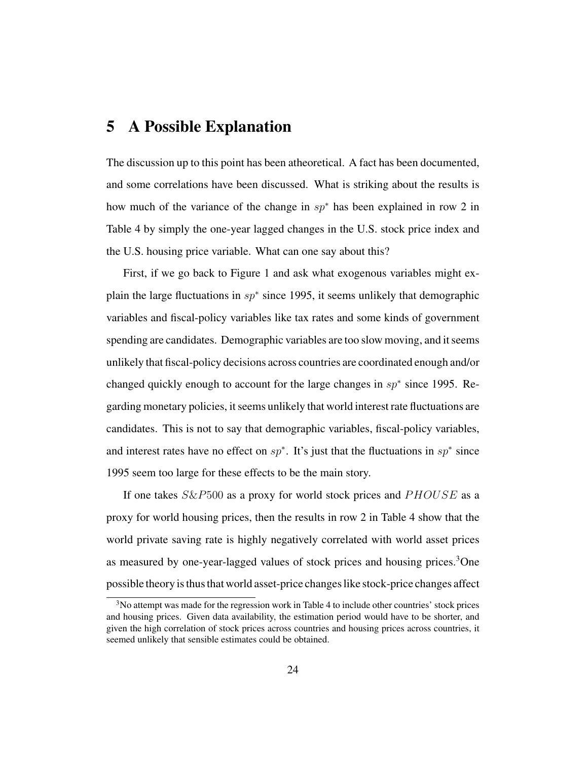#### 5 A Possible Explanation

The discussion up to this point has been atheoretical. A fact has been documented, and some correlations have been discussed. What is striking about the results is how much of the variance of the change in  $sp^*$  has been explained in row 2 in Table 4 by simply the one-year lagged changes in the U.S. stock price index and the U.S. housing price variable. What can one say about this?

First, if we go back to Figure 1 and ask what exogenous variables might explain the large fluctuations in  $sp^*$  since 1995, it seems unlikely that demographic variables and fiscal-policy variables like tax rates and some kinds of government spending are candidates. Demographic variables are too slow moving, and it seems unlikely that fiscal-policy decisions across countries are coordinated enough and/or changed quickly enough to account for the large changes in  $sp*$  since 1995. Regarding monetary policies, it seems unlikely that world interest rate fluctuations are candidates. This is not to say that demographic variables, fiscal-policy variables, and interest rates have no effect on  $sp^*$ . It's just that the fluctuations in  $sp^*$  since 1995 seem too large for these effects to be the main story.

If one takes  $S\&P500$  as a proxy for world stock prices and  $PHOUSE$  as a proxy for world housing prices, then the results in row 2 in Table 4 show that the world private saving rate is highly negatively correlated with world asset prices as measured by one-year-lagged values of stock prices and housing prices.<sup>3</sup>One possible theory is thus that world asset-price changes like stock-price changes affect

<sup>&</sup>lt;sup>3</sup>No attempt was made for the regression work in Table 4 to include other countries' stock prices and housing prices. Given data availability, the estimation period would have to be shorter, and given the high correlation of stock prices across countries and housing prices across countries, it seemed unlikely that sensible estimates could be obtained.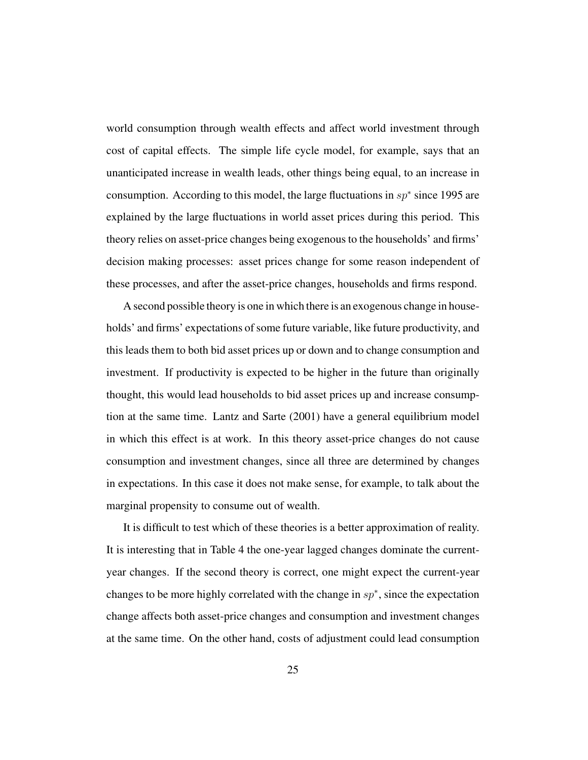world consumption through wealth effects and affect world investment through cost of capital effects. The simple life cycle model, for example, says that an unanticipated increase in wealth leads, other things being equal, to an increase in consumption. According to this model, the large fluctuations in  $sp*$  since 1995 are explained by the large fluctuations in world asset prices during this period. This theory relies on asset-price changes being exogenous to the households' and firms' decision making processes: asset prices change for some reason independent of these processes, and after the asset-price changes, households and firms respond.

A second possible theory is one in which there is an exogenous change in households' and firms' expectations of some future variable, like future productivity, and this leads them to both bid asset prices up or down and to change consumption and investment. If productivity is expected to be higher in the future than originally thought, this would lead households to bid asset prices up and increase consumption at the same time. Lantz and Sarte (2001) have a general equilibrium model in which this effect is at work. In this theory asset-price changes do not cause consumption and investment changes, since all three are determined by changes in expectations. In this case it does not make sense, for example, to talk about the marginal propensity to consume out of wealth.

It is difficult to test which of these theories is a better approximation of reality. It is interesting that in Table 4 the one-year lagged changes dominate the currentyear changes. If the second theory is correct, one might expect the current-year changes to be more highly correlated with the change in  $sp^*$ , since the expectation change affects both asset-price changes and consumption and investment changes at the same time. On the other hand, costs of adjustment could lead consumption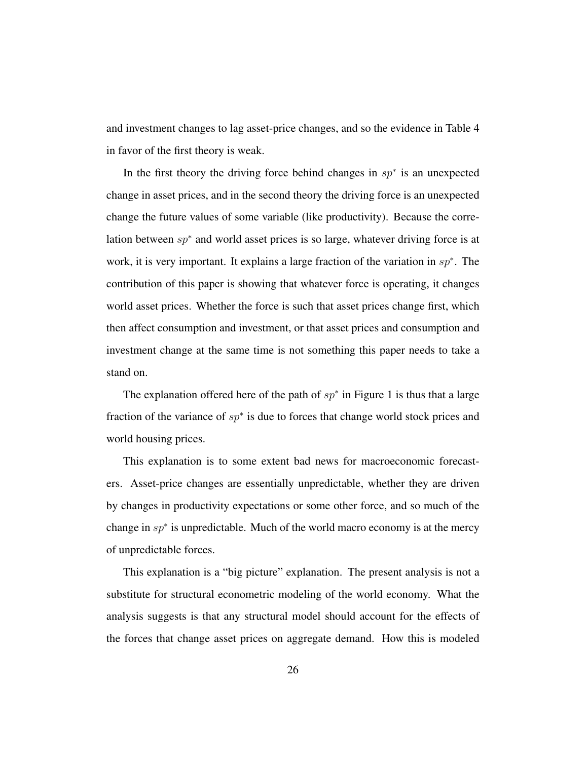and investment changes to lag asset-price changes, and so the evidence in Table 4 in favor of the first theory is weak.

In the first theory the driving force behind changes in  $sp*$  is an unexpected change in asset prices, and in the second theory the driving force is an unexpected change the future values of some variable (like productivity). Because the correlation between sp<sup>∗</sup> and world asset prices is so large, whatever driving force is at work, it is very important. It explains a large fraction of the variation in  $sp^*$ . The contribution of this paper is showing that whatever force is operating, it changes world asset prices. Whether the force is such that asset prices change first, which then affect consumption and investment, or that asset prices and consumption and investment change at the same time is not something this paper needs to take a stand on.

The explanation offered here of the path of  $sp^*$  in Figure 1 is thus that a large fraction of the variance of  $sp*$  is due to forces that change world stock prices and world housing prices.

This explanation is to some extent bad news for macroeconomic forecasters. Asset-price changes are essentially unpredictable, whether they are driven by changes in productivity expectations or some other force, and so much of the change in  $sp^*$  is unpredictable. Much of the world macro economy is at the mercy of unpredictable forces.

This explanation is a "big picture" explanation. The present analysis is not a substitute for structural econometric modeling of the world economy. What the analysis suggests is that any structural model should account for the effects of the forces that change asset prices on aggregate demand. How this is modeled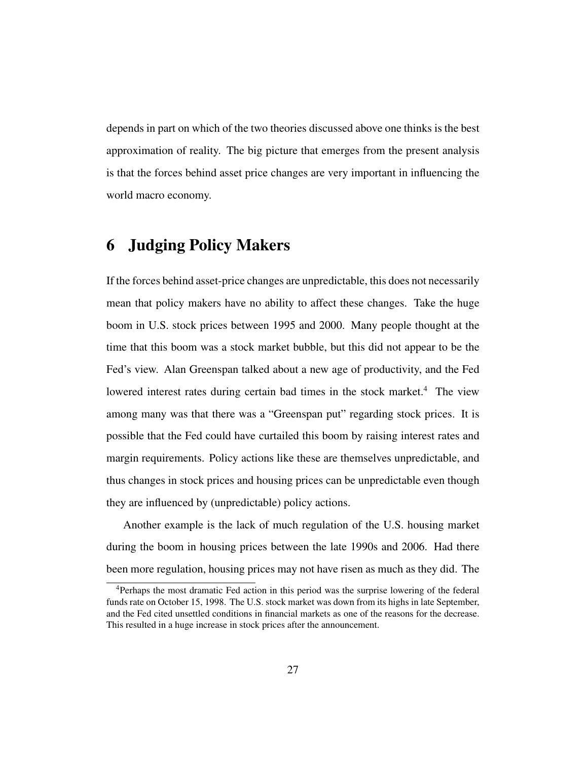depends in part on which of the two theories discussed above one thinks is the best approximation of reality. The big picture that emerges from the present analysis is that the forces behind asset price changes are very important in influencing the world macro economy.

# 6 Judging Policy Makers

If the forces behind asset-price changes are unpredictable, this does not necessarily mean that policy makers have no ability to affect these changes. Take the huge boom in U.S. stock prices between 1995 and 2000. Many people thought at the time that this boom was a stock market bubble, but this did not appear to be the Fed's view. Alan Greenspan talked about a new age of productivity, and the Fed lowered interest rates during certain bad times in the stock market.<sup>4</sup> The view among many was that there was a "Greenspan put" regarding stock prices. It is possible that the Fed could have curtailed this boom by raising interest rates and margin requirements. Policy actions like these are themselves unpredictable, and thus changes in stock prices and housing prices can be unpredictable even though they are influenced by (unpredictable) policy actions.

Another example is the lack of much regulation of the U.S. housing market during the boom in housing prices between the late 1990s and 2006. Had there been more regulation, housing prices may not have risen as much as they did. The

<sup>4</sup>Perhaps the most dramatic Fed action in this period was the surprise lowering of the federal funds rate on October 15, 1998. The U.S. stock market was down from its highs in late September, and the Fed cited unsettled conditions in financial markets as one of the reasons for the decrease. This resulted in a huge increase in stock prices after the announcement.